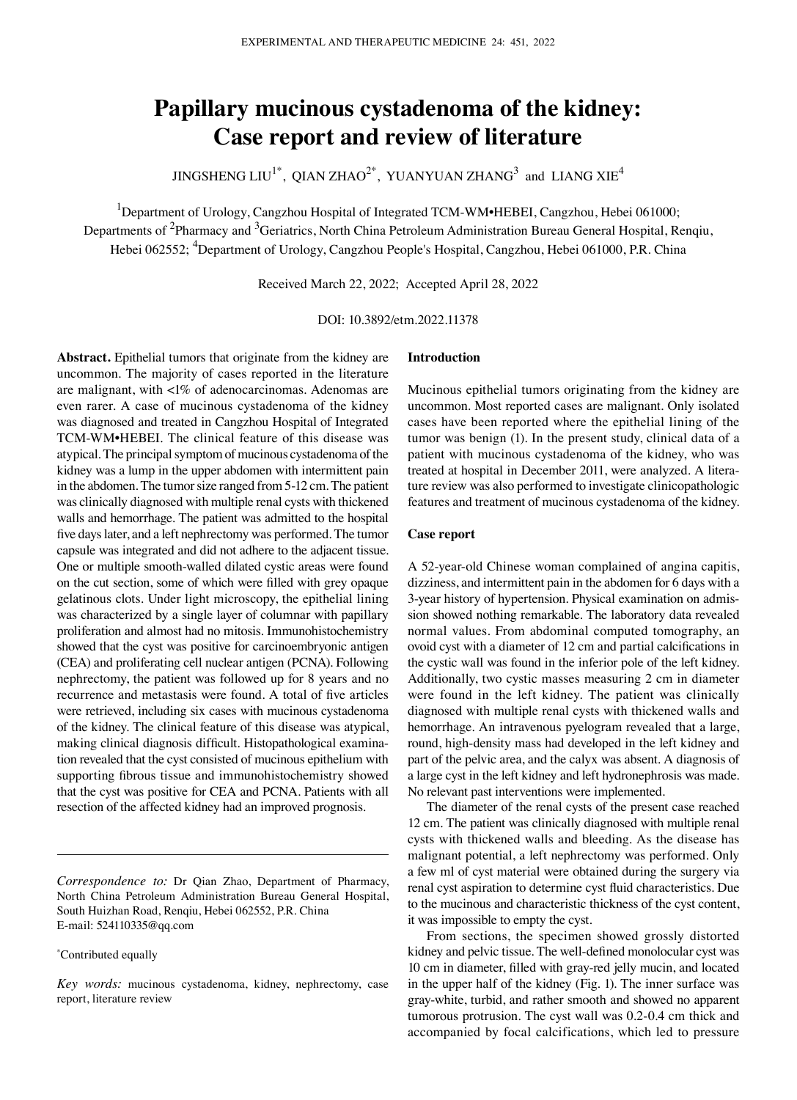# **Papillary mucinous cystadenoma of the kidney: Case report and review of literature**

JINGSHENG LIU<sup>1\*</sup>, QIAN ZHAO<sup>2\*</sup>, YUANYUAN ZHANG<sup>3</sup> and LIANG XIE<sup>4</sup>

<sup>1</sup>Department of Urology, Cangzhou Hospital of Integrated TCM-WM•HEBEI, Cangzhou, Hebei 061000; Departments of <sup>2</sup>Pharmacy and <sup>3</sup>Geriatrics, North China Petroleum Administration Bureau General Hospital, Renqiu, Hebei 062552; <sup>4</sup>Department of Urology, Cangzhou People's Hospital, Cangzhou, Hebei 061000, P.R. China

Received March 22, 2022; Accepted April 28, 2022

DOI: 10.3892/etm.2022.11378

**Abstract.** Epithelial tumors that originate from the kidney are uncommon. The majority of cases reported in the literature are malignant, with <1% of adenocarcinomas. Adenomas are even rarer. A case of mucinous cystadenoma of the kidney was diagnosed and treated in Cangzhou Hospital of Integrated TCM‑WM•HEBEI. The clinical feature of this disease was atypical. The principal symptom of mucinous cystadenoma of the kidney was a lump in the upper abdomen with intermittent pain in the abdomen. The tumor size ranged from 5‑12 cm. The patient was clinically diagnosed with multiple renal cysts with thickened walls and hemorrhage. The patient was admitted to the hospital five days later, and a left nephrectomy was performed. The tumor capsule was integrated and did not adhere to the adjacent tissue. One or multiple smooth‑walled dilated cystic areas were found on the cut section, some of which were filled with grey opaque gelatinous clots. Under light microscopy, the epithelial lining was characterized by a single layer of columnar with papillary proliferation and almost had no mitosis. Immunohistochemistry showed that the cyst was positive for carcinoembryonic antigen (CEA) and proliferating cell nuclear antigen (PCNA). Following nephrectomy, the patient was followed up for 8 years and no recurrence and metastasis were found. A total of five articles were retrieved, including six cases with mucinous cystadenoma of the kidney. The clinical feature of this disease was atypical, making clinical diagnosis difficult. Histopathological examination revealed that the cyst consisted of mucinous epithelium with supporting fibrous tissue and immunohistochemistry showed that the cyst was positive for CEA and PCNA. Patients with all resection of the affected kidney had an improved prognosis.

*Correspondence to:* Dr Qian Zhao, Department of Pharmacy, North China Petroleum Administration Bureau General Hospital, South Huizhan Road, Renqiu, Hebei 062552, P.R. China E‑mail: 524110335@qq.com

#### \* Contributed equally

*Key words:* mucinous cystadenoma, kidney, nephrectomy, case report, literature review

#### **Introduction**

Mucinous epithelial tumors originating from the kidney are uncommon. Most reported cases are malignant. Only isolated cases have been reported where the epithelial lining of the tumor was benign (1). In the present study, clinical data of a patient with mucinous cystadenoma of the kidney, who was treated at hospital in December 2011, were analyzed. A literature review was also performed to investigate clinicopathologic features and treatment of mucinous cystadenoma of the kidney.

#### **Case report**

A 52‑year‑old Chinese woman complained of angina capitis, dizziness, and intermittent pain in the abdomen for 6 days with a 3‑year history of hypertension. Physical examination on admis‑ sion showed nothing remarkable. The laboratory data revealed normal values. From abdominal computed tomography, an ovoid cyst with a diameter of 12 cm and partial calcifications in the cystic wall was found in the inferior pole of the left kidney. Additionally, two cystic masses measuring 2 cm in diameter were found in the left kidney. The patient was clinically diagnosed with multiple renal cysts with thickened walls and hemorrhage. An intravenous pyelogram revealed that a large, round, high-density mass had developed in the left kidney and part of the pelvic area, and the calyx was absent. A diagnosis of a large cyst in the left kidney and left hydronephrosis was made. No relevant past interventions were implemented.

The diameter of the renal cysts of the present case reached 12 cm. The patient was clinically diagnosed with multiple renal cysts with thickened walls and bleeding. As the disease has malignant potential, a left nephrectomy was performed. Only a few ml of cyst material were obtained during the surgery via renal cyst aspiration to determine cyst fluid characteristics. Due to the mucinous and characteristic thickness of the cyst content, it was impossible to empty the cyst.

From sections, the specimen showed grossly distorted kidney and pelvic tissue. The well-defined monolocular cyst was 10 cm in diameter, filled with gray‑red jelly mucin, and located in the upper half of the kidney (Fig. 1). The inner surface was gray‑white, turbid, and rather smooth and showed no apparent tumorous protrusion. The cyst wall was 0.2‑0.4 cm thick and accompanied by focal calcifications, which led to pressure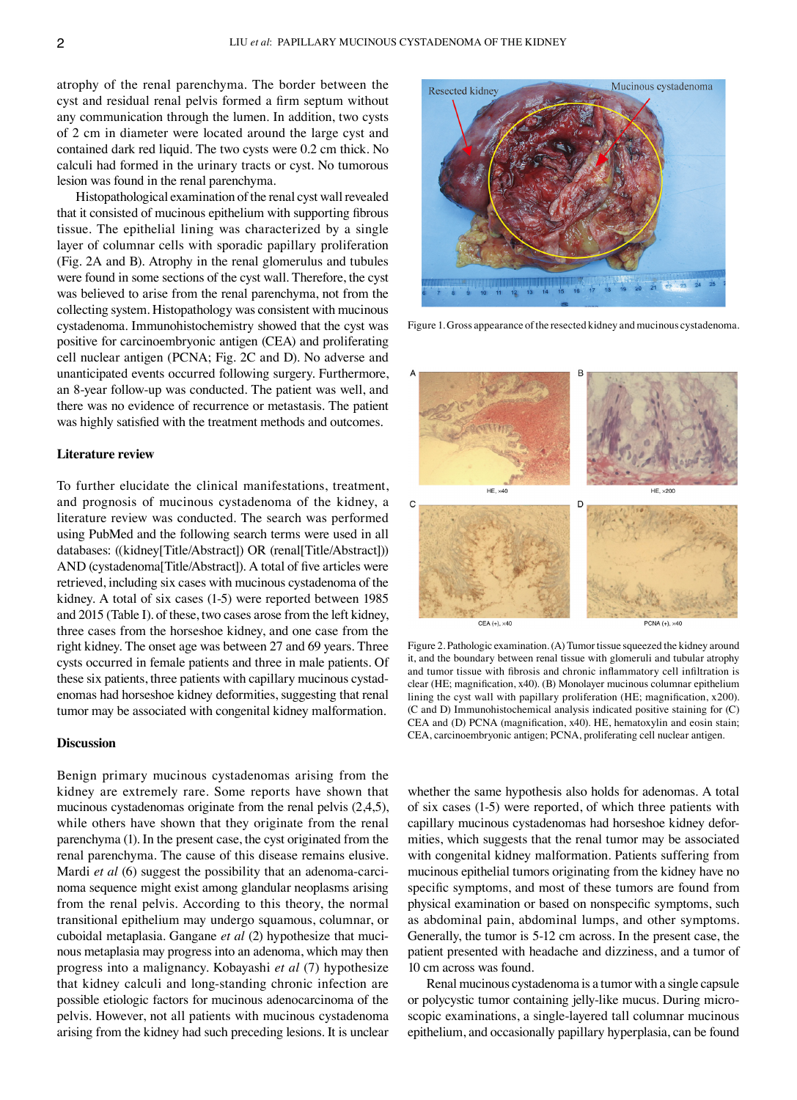atrophy of the renal parenchyma. The border between the cyst and residual renal pelvis formed a firm septum without any communication through the lumen. In addition, two cysts of 2 cm in diameter were located around the large cyst and contained dark red liquid. The two cysts were 0.2 cm thick. No calculi had formed in the urinary tracts or cyst. No tumorous lesion was found in the renal parenchyma.

Histopathological examination of the renal cyst wall revealed that it consisted of mucinous epithelium with supporting fibrous tissue. The epithelial lining was characterized by a single layer of columnar cells with sporadic papillary proliferation (Fig. 2A and B). Atrophy in the renal glomerulus and tubules were found in some sections of the cyst wall. Therefore, the cyst was believed to arise from the renal parenchyma, not from the collecting system. Histopathology was consistent with mucinous cystadenoma. Immunohistochemistry showed that the cyst was positive for carcinoembryonic antigen (CEA) and proliferating cell nuclear antigen (PCNA; Fig. 2C and D). No adverse and unanticipated events occurred following surgery. Furthermore, an 8‑year follow‑up was conducted. The patient was well, and there was no evidence of recurrence or metastasis. The patient was highly satisfied with the treatment methods and outcomes.

# **Literature review**

To further elucidate the clinical manifestations, treatment, and prognosis of mucinous cystadenoma of the kidney, a literature review was conducted. The search was performed using PubMed and the following search terms were used in all databases: ((kidney[Title/Abstract]) OR (renal[Title/Abstract])) AND (cystadenoma[Title/Abstract]). A total of five articles were retrieved, including six cases with mucinous cystadenoma of the kidney. A total of six cases (1-5) were reported between 1985 and 2015 (Table I). of these, two cases arose from the left kidney, three cases from the horseshoe kidney, and one case from the right kidney. The onset age was between 27 and 69 years. Three cysts occurred in female patients and three in male patients. Of these six patients, three patients with capillary mucinous cystadenomas had horseshoe kidney deformities, suggesting that renal tumor may be associated with congenital kidney malformation.

# **Discussion**

Benign primary mucinous cystadenomas arising from the kidney are extremely rare. Some reports have shown that mucinous cystadenomas originate from the renal pelvis (2,4,5), while others have shown that they originate from the renal parenchyma (1). In the present case, the cyst originated from the renal parenchyma. The cause of this disease remains elusive. Mardi *et al* (6) suggest the possibility that an adenoma-carcinoma sequence might exist among glandular neoplasms arising from the renal pelvis. According to this theory, the normal transitional epithelium may undergo squamous, columnar, or cuboidal metaplasia. Gangane *et al* (2) hypothesize that mucinous metaplasia may progress into an adenoma, which may then progress into a malignancy. Kobayashi *et al* (7) hypothesize that kidney calculi and long‑standing chronic infection are possible etiologic factors for mucinous adenocarcinoma of the pelvis. However, not all patients with mucinous cystadenoma arising from the kidney had such preceding lesions. It is unclear



Figure 1. Gross appearance of the resected kidney and mucinous cystadenoma.



Figure 2. Pathologic examination. (A) Tumor tissue squeezed the kidney around it, and the boundary between renal tissue with glomeruli and tubular atrophy and tumor tissue with fibrosis and chronic inflammatory cell infiltration is clear (HE; magnification, x40). (B) Monolayer mucinous columnar epithelium lining the cyst wall with papillary proliferation (HE; magnification, x200). (C and D) Immunohistochemical analysis indicated positive staining for (C) CEA and (D) PCNA (magnification, x40). HE, hematoxylin and eosin stain; CEA, carcinoembryonic antigen; PCNA, proliferating cell nuclear antigen.

whether the same hypothesis also holds for adenomas. A total of six cases (1‑5) were reported, of which three patients with capillary mucinous cystadenomas had horseshoe kidney deformities, which suggests that the renal tumor may be associated with congenital kidney malformation. Patients suffering from mucinous epithelial tumors originating from the kidney have no specific symptoms, and most of these tumors are found from physical examination or based on nonspecific symptoms, such as abdominal pain, abdominal lumps, and other symptoms. Generally, the tumor is 5‑12 cm across. In the present case, the patient presented with headache and dizziness, and a tumor of 10 cm across was found.

Renal mucinous cystadenoma is a tumor with a single capsule or polycystic tumor containing jelly-like mucus. During microscopic examinations, a single-layered tall columnar mucinous epithelium, and occasionally papillary hyperplasia, can be found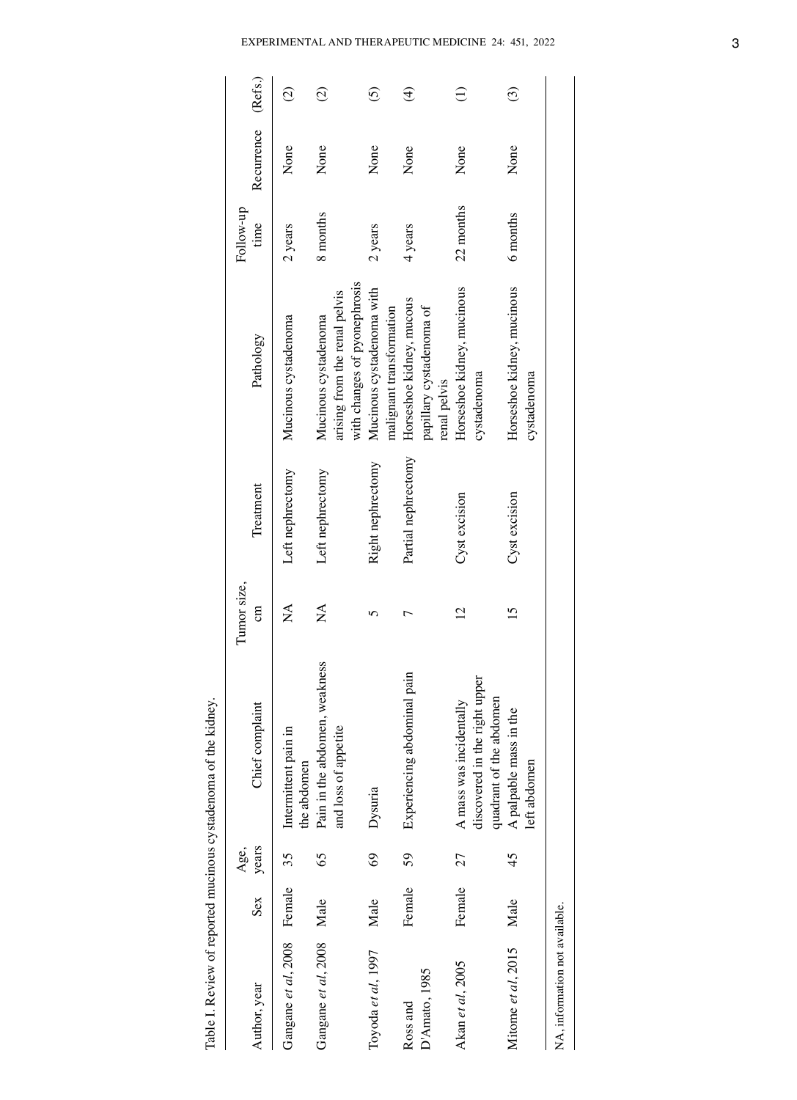|                                |        |               | Table I. Review of reported mucinous cystadenoma of the kidney.                     |                           |                     |                                                                                       |                   |            |                          |
|--------------------------------|--------|---------------|-------------------------------------------------------------------------------------|---------------------------|---------------------|---------------------------------------------------------------------------------------|-------------------|------------|--------------------------|
| Author, year                   | Sex    | years<br>Age, | Chief complaint                                                                     | Tumor size,<br>cm         | Treatment           | Pathology                                                                             | Follow-up<br>time | Recurrence | (Refs.)                  |
| Gangane et al, 2008            | Female | 35            | Intermittent pain in<br>the abdomen                                                 | $\mathbb{E}$              | Left nephrectomy    | Mucinous cystadenoma                                                                  | 2 years           | None       | $\widehat{\circ}$        |
| Gangane et al, 2008            | Male   | 65            | Pain in the abdomen, weakness<br>and loss of appetite                               | $\mathbb{X}^{\mathsf{A}}$ | Left nephrectomy    | with changes of pyonephrosis<br>arising from the renal pelvis<br>Mucinous cystadenoma | 8 months          | None       | $\widehat{\circ}$        |
| Toyoda et al, 1997             | Male   | 69            | Dysuria                                                                             | 5                         | Right nephrectomy   | Mucinous cystadenoma with<br>malignant transformation                                 | 2 years           | None       | <u>ව</u>                 |
| D'Amato, 1985<br>Ross and      | Female | 59            | Experiencing abdominal pain                                                         | ᡕ                         | Partial nephrectomy | Horseshoe kidney, mucous<br>papillary cystadenoma of<br>renal pelvis                  | 4 years           | None       | $\widehat{\mathfrak{t}}$ |
| Akan et al, 2005               | Female | 27            | discovered in the right upper<br>quadrant of the abdomen<br>A mass was incidentally | $\overline{2}$            | Cyst excision       | Horseshoe kidney, mucinous<br>cystadenoma                                             | 22 months         | None       |                          |
| Mitome et al, 2015             | Male   | 45            | A palpable mass in the<br>left abdomen                                              | $\overline{15}$           | Cyst excision       | Horseshoe kidney, mucinous<br>cystadenoma                                             | 6 months          | None       | $\widehat{\odot}$        |
| NA, information not available. |        |               |                                                                                     |                           |                     |                                                                                       |                   |            |                          |

EXPERIMENTAL AND THERAPEUTIC MEDICINE 24: 451, 2022

3